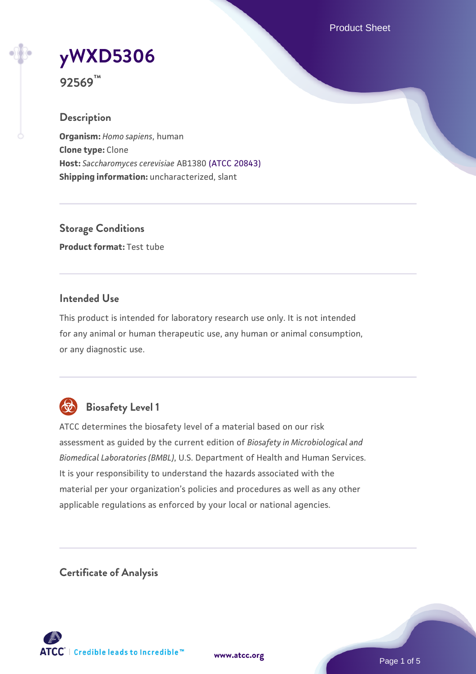Product Sheet

# **[yWXD5306](https://www.atcc.org/products/92569)**

**92569™**

## **Description**

**Organism:** *Homo sapiens*, human **Clone type:** Clone **Host:** *Saccharomyces cerevisiae* AB1380 [\(ATCC 20843\)](https://www.atcc.org/products/20843) **Shipping information:** uncharacterized, slant

**Storage Conditions Product format:** Test tube

## **Intended Use**

This product is intended for laboratory research use only. It is not intended for any animal or human therapeutic use, any human or animal consumption, or any diagnostic use.



# **Biosafety Level 1**

ATCC determines the biosafety level of a material based on our risk assessment as guided by the current edition of *Biosafety in Microbiological and Biomedical Laboratories (BMBL)*, U.S. Department of Health and Human Services. It is your responsibility to understand the hazards associated with the material per your organization's policies and procedures as well as any other applicable regulations as enforced by your local or national agencies.

**Certificate of Analysis**

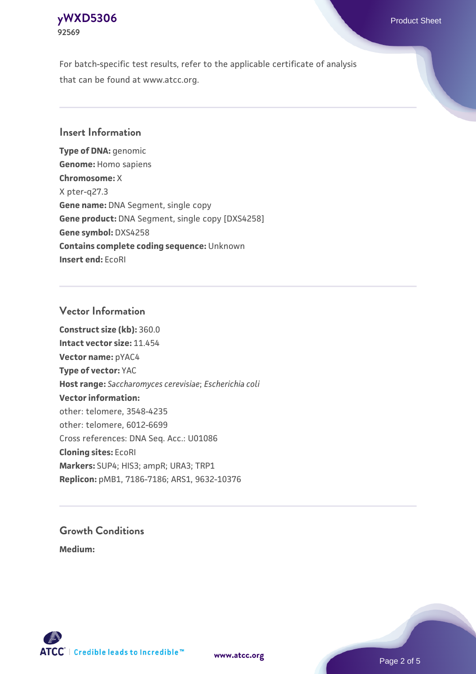## **[yWXD5306](https://www.atcc.org/products/92569)** Product Sheet **92569**

For batch-specific test results, refer to the applicable certificate of analysis that can be found at www.atcc.org.

## **Insert Information**

**Type of DNA:** genomic **Genome:** Homo sapiens **Chromosome:** X X pter-q27.3 **Gene name:** DNA Segment, single copy **Gene product:** DNA Segment, single copy [DXS4258] **Gene symbol:** DXS4258 **Contains complete coding sequence:** Unknown **Insert end:** EcoRI

## **Vector Information**

**Construct size (kb):** 360.0 **Intact vector size:** 11.454 **Vector name:** pYAC4 **Type of vector:** YAC **Host range:** *Saccharomyces cerevisiae*; *Escherichia coli* **Vector information:** other: telomere, 3548-4235 other: telomere, 6012-6699 Cross references: DNA Seq. Acc.: U01086 **Cloning sites:** EcoRI **Markers:** SUP4; HIS3; ampR; URA3; TRP1 **Replicon:** pMB1, 7186-7186; ARS1, 9632-10376

# **Growth Conditions**

**Medium:** 



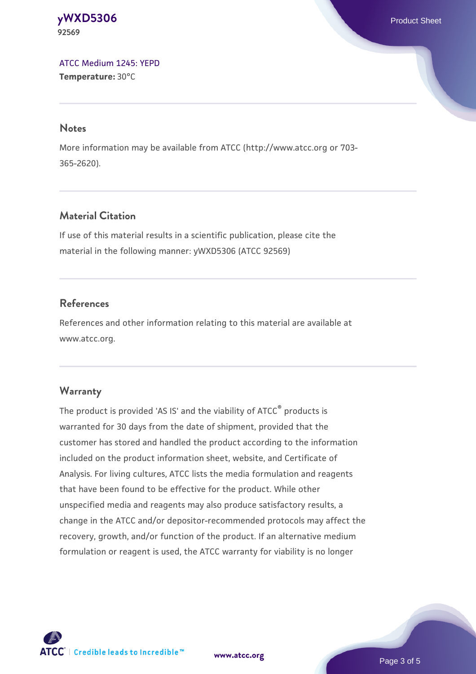#### **[yWXD5306](https://www.atcc.org/products/92569)** Product Sheet **92569**

[ATCC Medium 1245: YEPD](https://www.atcc.org/-/media/product-assets/documents/microbial-media-formulations/1/2/4/5/atcc-medium-1245.pdf?rev=705ca55d1b6f490a808a965d5c072196) **Temperature:** 30°C

#### **Notes**

More information may be available from ATCC (http://www.atcc.org or 703- 365-2620).

## **Material Citation**

If use of this material results in a scientific publication, please cite the material in the following manner: yWXD5306 (ATCC 92569)

## **References**

References and other information relating to this material are available at www.atcc.org.

### **Warranty**

The product is provided 'AS IS' and the viability of ATCC® products is warranted for 30 days from the date of shipment, provided that the customer has stored and handled the product according to the information included on the product information sheet, website, and Certificate of Analysis. For living cultures, ATCC lists the media formulation and reagents that have been found to be effective for the product. While other unspecified media and reagents may also produce satisfactory results, a change in the ATCC and/or depositor-recommended protocols may affect the recovery, growth, and/or function of the product. If an alternative medium formulation or reagent is used, the ATCC warranty for viability is no longer



**[www.atcc.org](http://www.atcc.org)**

Page 3 of 5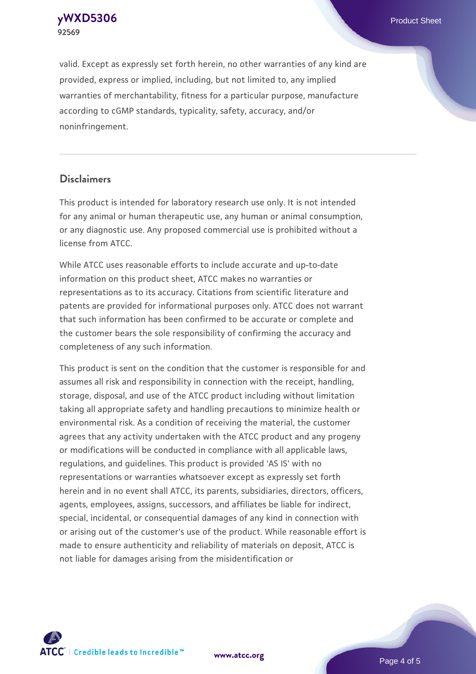**[yWXD5306](https://www.atcc.org/products/92569)** Product Sheet **92569**

valid. Except as expressly set forth herein, no other warranties of any kind are provided, express or implied, including, but not limited to, any implied warranties of merchantability, fitness for a particular purpose, manufacture according to cGMP standards, typicality, safety, accuracy, and/or noninfringement.

#### **Disclaimers**

This product is intended for laboratory research use only. It is not intended for any animal or human therapeutic use, any human or animal consumption, or any diagnostic use. Any proposed commercial use is prohibited without a license from ATCC.

While ATCC uses reasonable efforts to include accurate and up-to-date information on this product sheet, ATCC makes no warranties or representations as to its accuracy. Citations from scientific literature and patents are provided for informational purposes only. ATCC does not warrant that such information has been confirmed to be accurate or complete and the customer bears the sole responsibility of confirming the accuracy and completeness of any such information.

This product is sent on the condition that the customer is responsible for and assumes all risk and responsibility in connection with the receipt, handling, storage, disposal, and use of the ATCC product including without limitation taking all appropriate safety and handling precautions to minimize health or environmental risk. As a condition of receiving the material, the customer agrees that any activity undertaken with the ATCC product and any progeny or modifications will be conducted in compliance with all applicable laws, regulations, and guidelines. This product is provided 'AS IS' with no representations or warranties whatsoever except as expressly set forth herein and in no event shall ATCC, its parents, subsidiaries, directors, officers, agents, employees, assigns, successors, and affiliates be liable for indirect, special, incidental, or consequential damages of any kind in connection with or arising out of the customer's use of the product. While reasonable effort is made to ensure authenticity and reliability of materials on deposit, ATCC is not liable for damages arising from the misidentification or



**[www.atcc.org](http://www.atcc.org)**

Page 4 of 5